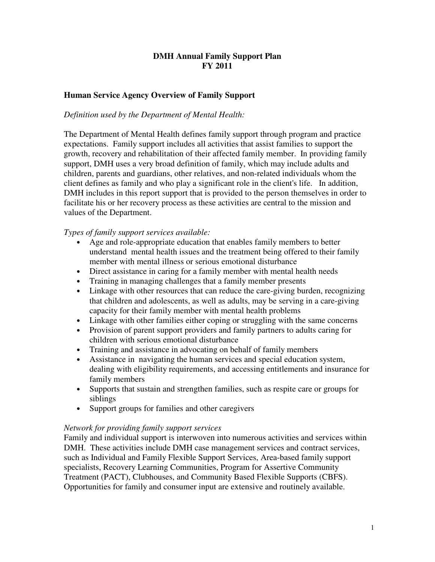# **DMH Annual Family Support Plan FY 2011**

# **Human Service Agency Overview of Family Support**

## *Definition used by the Department of Mental Health:*

The Department of Mental Health defines family support through program and practice expectations. Family support includes all activities that assist families to support the growth, recovery and rehabilitation of their affected family member. In providing family support, DMH uses a very broad definition of family, which may include adults and children, parents and guardians, other relatives, and non-related individuals whom the client defines as family and who play a significant role in the client's life. In addition, DMH includes in this report support that is provided to the person themselves in order to facilitate his or her recovery process as these activities are central to the mission and values of the Department.

## *Types of family support services available:*

- Age and role-appropriate education that enables family members to better understand mental health issues and the treatment being offered to their family member with mental illness or serious emotional disturbance
- Direct assistance in caring for a family member with mental health needs
- Training in managing challenges that a family member presents
- Linkage with other resources that can reduce the care-giving burden, recognizing that children and adolescents, as well as adults, may be serving in a care-giving capacity for their family member with mental health problems
- Linkage with other families either coping or struggling with the same concerns
- Provision of parent support providers and family partners to adults caring for children with serious emotional disturbance
- Training and assistance in advocating on behalf of family members
- Assistance in navigating the human services and special education system, dealing with eligibility requirements, and accessing entitlements and insurance for family members
- Supports that sustain and strengthen families, such as respite care or groups for siblings
- Support groups for families and other caregivers

#### *Network for providing family support services*

Family and individual support is interwoven into numerous activities and services within DMH. These activities include DMH case management services and contract services, such as Individual and Family Flexible Support Services, Area-based family support specialists, Recovery Learning Communities, Program for Assertive Community Treatment (PACT), Clubhouses, and Community Based Flexible Supports (CBFS). Opportunities for family and consumer input are extensive and routinely available.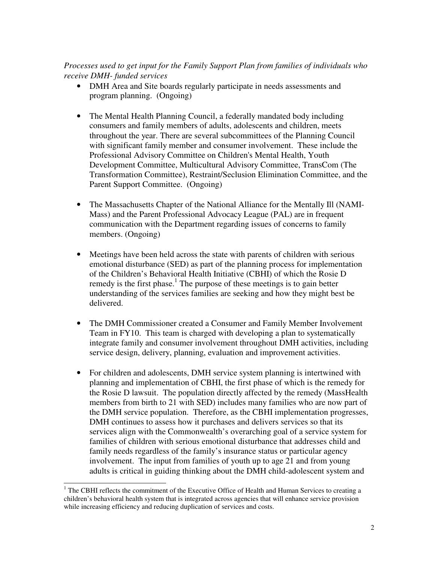## *Processes used to get input for the Family Support Plan from families of individuals who receive DMH- funded services*

- DMH Area and Site boards regularly participate in needs assessments and program planning. (Ongoing)
- The Mental Health Planning Council, a federally mandated body including consumers and family members of adults, adolescents and children, meets throughout the year. There are several subcommittees of the Planning Council with significant family member and consumer involvement. These include the Professional Advisory Committee on Children's Mental Health, Youth Development Committee, Multicultural Advisory Committee, TransCom (The Transformation Committee), Restraint/Seclusion Elimination Committee, and the Parent Support Committee. (Ongoing)
- The Massachusetts Chapter of the National Alliance for the Mentally Ill (NAMI-Mass) and the Parent Professional Advocacy League (PAL) are in frequent communication with the Department regarding issues of concerns to family members. (Ongoing)
- Meetings have been held across the state with parents of children with serious emotional disturbance (SED) as part of the planning process for implementation of the Children's Behavioral Health Initiative (CBHI) of which the Rosie D remedy is the first phase.<sup>1</sup> The purpose of these meetings is to gain better understanding of the services families are seeking and how they might best be delivered.
- The DMH Commissioner created a Consumer and Family Member Involvement Team in FY10. This team is charged with developing a plan to systematically integrate family and consumer involvement throughout DMH activities, including service design, delivery, planning, evaluation and improvement activities.
- For children and adolescents, DMH service system planning is intertwined with planning and implementation of CBHI, the first phase of which is the remedy for the Rosie D lawsuit. The population directly affected by the remedy (MassHealth members from birth to 21 with SED) includes many families who are now part of the DMH service population. Therefore, as the CBHI implementation progresses, DMH continues to assess how it purchases and delivers services so that its services align with the Commonwealth's overarching goal of a service system for families of children with serious emotional disturbance that addresses child and family needs regardless of the family's insurance status or particular agency involvement. The input from families of youth up to age 21 and from young adults is critical in guiding thinking about the DMH child-adolescent system and

<sup>&</sup>lt;sup>1</sup> The CBHI reflects the commitment of the Executive Office of Health and Human Services to creating a children's behavioral health system that is integrated across agencies that will enhance service provision while increasing efficiency and reducing duplication of services and costs.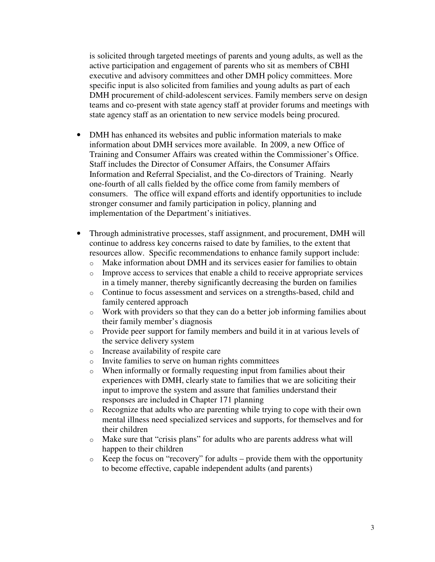is solicited through targeted meetings of parents and young adults, as well as the active participation and engagement of parents who sit as members of CBHI executive and advisory committees and other DMH policy committees. More specific input is also solicited from families and young adults as part of each DMH procurement of child-adolescent services. Family members serve on design teams and co-present with state agency staff at provider forums and meetings with state agency staff as an orientation to new service models being procured.

- DMH has enhanced its websites and public information materials to make information about DMH services more available. In 2009, a new Office of Training and Consumer Affairs was created within the Commissioner's Office. Staff includes the Director of Consumer Affairs, the Consumer Affairs Information and Referral Specialist, and the Co-directors of Training. Nearly one-fourth of all calls fielded by the office come from family members of consumers. The office will expand efforts and identify opportunities to include stronger consumer and family participation in policy, planning and implementation of the Department's initiatives.
- Through administrative processes, staff assignment, and procurement, DMH will continue to address key concerns raised to date by families, to the extent that resources allow. Specific recommendations to enhance family support include:
	- o Make information about DMH and its services easier for families to obtain
	- o Improve access to services that enable a child to receive appropriate services in a timely manner, thereby significantly decreasing the burden on families
	- o Continue to focus assessment and services on a strengths-based, child and family centered approach
	- o Work with providers so that they can do a better job informing families about their family member's diagnosis
	- o Provide peer support for family members and build it in at various levels of the service delivery system
	- o Increase availability of respite care
	- o Invite families to serve on human rights committees
	- o When informally or formally requesting input from families about their experiences with DMH, clearly state to families that we are soliciting their input to improve the system and assure that families understand their responses are included in Chapter 171 planning
	- o Recognize that adults who are parenting while trying to cope with their own mental illness need specialized services and supports, for themselves and for their children
	- o Make sure that "crisis plans" for adults who are parents address what will happen to their children
	- $\circ$  Keep the focus on "recovery" for adults provide them with the opportunity to become effective, capable independent adults (and parents)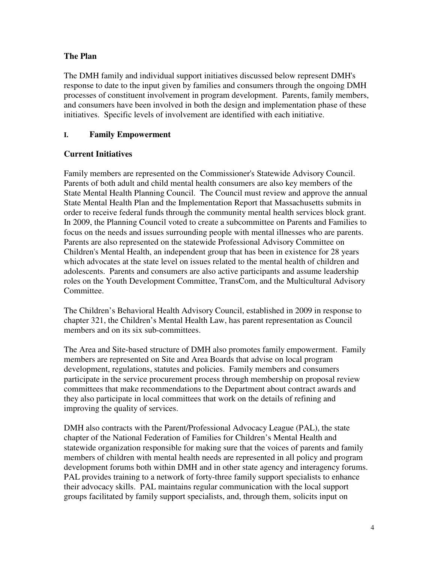# **The Plan**

The DMH family and individual support initiatives discussed below represent DMH's response to date to the input given by families and consumers through the ongoing DMH processes of constituent involvement in program development. Parents, family members, and consumers have been involved in both the design and implementation phase of these initiatives. Specific levels of involvement are identified with each initiative.

## **I. Family Empowerment**

## **Current Initiatives**

Family members are represented on the Commissioner's Statewide Advisory Council. Parents of both adult and child mental health consumers are also key members of the State Mental Health Planning Council. The Council must review and approve the annual State Mental Health Plan and the Implementation Report that Massachusetts submits in order to receive federal funds through the community mental health services block grant. In 2009, the Planning Council voted to create a subcommittee on Parents and Families to focus on the needs and issues surrounding people with mental illnesses who are parents. Parents are also represented on the statewide Professional Advisory Committee on Children's Mental Health, an independent group that has been in existence for 28 years which advocates at the state level on issues related to the mental health of children and adolescents. Parents and consumers are also active participants and assume leadership roles on the Youth Development Committee, TransCom, and the Multicultural Advisory Committee.

The Children's Behavioral Health Advisory Council, established in 2009 in response to chapter 321, the Children's Mental Health Law, has parent representation as Council members and on its six sub-committees.

The Area and Site-based structure of DMH also promotes family empowerment. Family members are represented on Site and Area Boards that advise on local program development, regulations, statutes and policies. Family members and consumers participate in the service procurement process through membership on proposal review committees that make recommendations to the Department about contract awards and they also participate in local committees that work on the details of refining and improving the quality of services.

DMH also contracts with the Parent/Professional Advocacy League (PAL), the state chapter of the National Federation of Families for Children's Mental Health and statewide organization responsible for making sure that the voices of parents and family members of children with mental health needs are represented in all policy and program development forums both within DMH and in other state agency and interagency forums. PAL provides training to a network of forty-three family support specialists to enhance their advocacy skills. PAL maintains regular communication with the local support groups facilitated by family support specialists, and, through them, solicits input on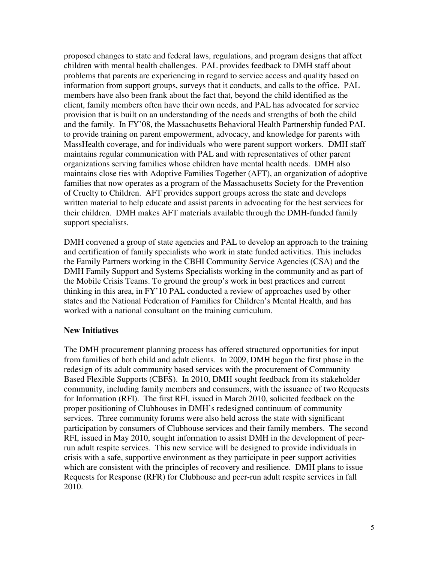proposed changes to state and federal laws, regulations, and program designs that affect children with mental health challenges. PAL provides feedback to DMH staff about problems that parents are experiencing in regard to service access and quality based on information from support groups, surveys that it conducts, and calls to the office. PAL members have also been frank about the fact that, beyond the child identified as the client, family members often have their own needs, and PAL has advocated for service provision that is built on an understanding of the needs and strengths of both the child and the family. In FY'08, the Massachusetts Behavioral Health Partnership funded PAL to provide training on parent empowerment, advocacy, and knowledge for parents with MassHealth coverage, and for individuals who were parent support workers. DMH staff maintains regular communication with PAL and with representatives of other parent organizations serving families whose children have mental health needs. DMH also maintains close ties with Adoptive Families Together (AFT), an organization of adoptive families that now operates as a program of the Massachusetts Society for the Prevention of Cruelty to Children. AFT provides support groups across the state and develops written material to help educate and assist parents in advocating for the best services for their children. DMH makes AFT materials available through the DMH-funded family support specialists.

DMH convened a group of state agencies and PAL to develop an approach to the training and certification of family specialists who work in state funded activities. This includes the Family Partners working in the CBHI Community Service Agencies (CSA) and the DMH Family Support and Systems Specialists working in the community and as part of the Mobile Crisis Teams. To ground the group's work in best practices and current thinking in this area, in FY'10 PAL conducted a review of approaches used by other states and the National Federation of Families for Children's Mental Health, and has worked with a national consultant on the training curriculum.

#### **New Initiatives**

The DMH procurement planning process has offered structured opportunities for input from families of both child and adult clients. In 2009, DMH began the first phase in the redesign of its adult community based services with the procurement of Community Based Flexible Supports (CBFS). In 2010, DMH sought feedback from its stakeholder community, including family members and consumers, with the issuance of two Requests for Information (RFI). The first RFI, issued in March 2010, solicited feedback on the proper positioning of Clubhouses in DMH's redesigned continuum of community services. Three community forums were also held across the state with significant participation by consumers of Clubhouse services and their family members. The second RFI, issued in May 2010, sought information to assist DMH in the development of peerrun adult respite services. This new service will be designed to provide individuals in crisis with a safe, supportive environment as they participate in peer support activities which are consistent with the principles of recovery and resilience. DMH plans to issue Requests for Response (RFR) for Clubhouse and peer-run adult respite services in fall 2010.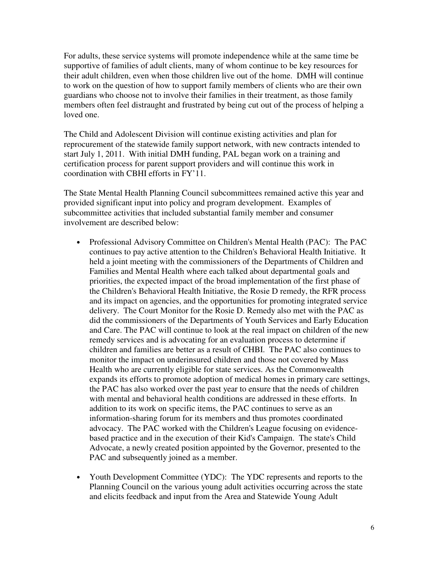For adults, these service systems will promote independence while at the same time be supportive of families of adult clients, many of whom continue to be key resources for their adult children, even when those children live out of the home. DMH will continue to work on the question of how to support family members of clients who are their own guardians who choose not to involve their families in their treatment, as those family members often feel distraught and frustrated by being cut out of the process of helping a loved one.

The Child and Adolescent Division will continue existing activities and plan for reprocurement of the statewide family support network, with new contracts intended to start July 1, 2011. With initial DMH funding, PAL began work on a training and certification process for parent support providers and will continue this work in coordination with CBHI efforts in FY'11.

The State Mental Health Planning Council subcommittees remained active this year and provided significant input into policy and program development. Examples of subcommittee activities that included substantial family member and consumer involvement are described below:

- Professional Advisory Committee on Children's Mental Health (PAC): The PAC continues to pay active attention to the Children's Behavioral Health Initiative. It held a joint meeting with the commissioners of the Departments of Children and Families and Mental Health where each talked about departmental goals and priorities, the expected impact of the broad implementation of the first phase of the Children's Behavioral Health Initiative, the Rosie D remedy, the RFR process and its impact on agencies, and the opportunities for promoting integrated service delivery. The Court Monitor for the Rosie D. Remedy also met with the PAC as did the commissioners of the Departments of Youth Services and Early Education and Care. The PAC will continue to look at the real impact on children of the new remedy services and is advocating for an evaluation process to determine if children and families are better as a result of CHBI. The PAC also continues to monitor the impact on underinsured children and those not covered by Mass Health who are currently eligible for state services. As the Commonwealth expands its efforts to promote adoption of medical homes in primary care settings, the PAC has also worked over the past year to ensure that the needs of children with mental and behavioral health conditions are addressed in these efforts. In addition to its work on specific items, the PAC continues to serve as an information-sharing forum for its members and thus promotes coordinated advocacy. The PAC worked with the Children's League focusing on evidencebased practice and in the execution of their Kid's Campaign. The state's Child Advocate, a newly created position appointed by the Governor, presented to the PAC and subsequently joined as a member.
- Youth Development Committee (YDC): The YDC represents and reports to the Planning Council on the various young adult activities occurring across the state and elicits feedback and input from the Area and Statewide Young Adult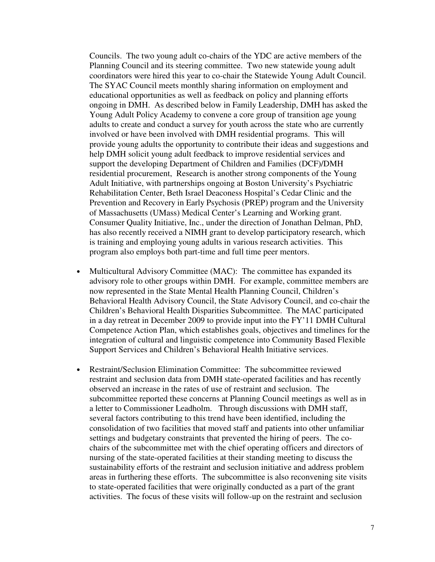Councils. The two young adult co-chairs of the YDC are active members of the Planning Council and its steering committee. Two new statewide young adult coordinators were hired this year to co-chair the Statewide Young Adult Council. The SYAC Council meets monthly sharing information on employment and educational opportunities as well as feedback on policy and planning efforts ongoing in DMH. As described below in Family Leadership, DMH has asked the Young Adult Policy Academy to convene a core group of transition age young adults to create and conduct a survey for youth across the state who are currently involved or have been involved with DMH residential programs. This will provide young adults the opportunity to contribute their ideas and suggestions and help DMH solicit young adult feedback to improve residential services and support the developing Department of Children and Families (DCF)/DMH residential procurement, Research is another strong components of the Young Adult Initiative, with partnerships ongoing at Boston University's Psychiatric Rehabilitation Center, Beth Israel Deaconess Hospital's Cedar Clinic and the Prevention and Recovery in Early Psychosis (PREP) program and the University of Massachusetts (UMass) Medical Center's Learning and Working grant. Consumer Quality Initiative, Inc., under the direction of Jonathan Delman, PhD, has also recently received a NIMH grant to develop participatory research, which is training and employing young adults in various research activities. This program also employs both part-time and full time peer mentors.

- Multicultural Advisory Committee (MAC): The committee has expanded its advisory role to other groups within DMH. For example, committee members are now represented in the State Mental Health Planning Council, Children's Behavioral Health Advisory Council, the State Advisory Council, and co-chair the Children's Behavioral Health Disparities Subcommittee. The MAC participated in a day retreat in December 2009 to provide input into the FY'11 DMH Cultural Competence Action Plan, which establishes goals, objectives and timelines for the integration of cultural and linguistic competence into Community Based Flexible Support Services and Children's Behavioral Health Initiative services.
- Restraint/Seclusion Elimination Committee: The subcommittee reviewed restraint and seclusion data from DMH state-operated facilities and has recently observed an increase in the rates of use of restraint and seclusion. The subcommittee reported these concerns at Planning Council meetings as well as in a letter to Commissioner Leadholm. Through discussions with DMH staff, several factors contributing to this trend have been identified, including the consolidation of two facilities that moved staff and patients into other unfamiliar settings and budgetary constraints that prevented the hiring of peers. The cochairs of the subcommittee met with the chief operating officers and directors of nursing of the state-operated facilities at their standing meeting to discuss the sustainability efforts of the restraint and seclusion initiative and address problem areas in furthering these efforts. The subcommittee is also reconvening site visits to state-operated facilities that were originally conducted as a part of the grant activities. The focus of these visits will follow-up on the restraint and seclusion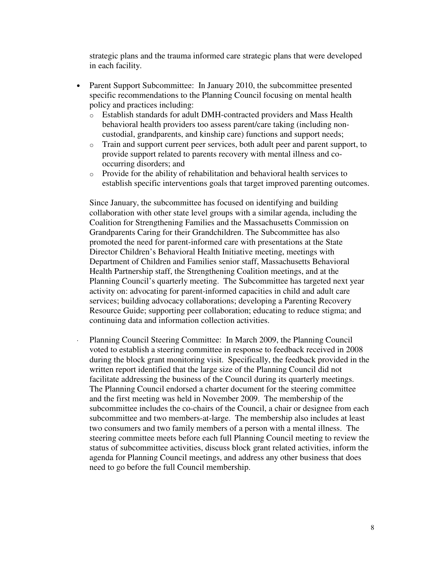strategic plans and the trauma informed care strategic plans that were developed in each facility.

- Parent Support Subcommittee: In January 2010, the subcommittee presented specific recommendations to the Planning Council focusing on mental health policy and practices including:
	- o Establish standards for adult DMH-contracted providers and Mass Health behavioral health providers too assess parent/care taking (including noncustodial, grandparents, and kinship care) functions and support needs;
	- o Train and support current peer services, both adult peer and parent support, to provide support related to parents recovery with mental illness and cooccurring disorders; and
	- o Provide for the ability of rehabilitation and behavioral health services to establish specific interventions goals that target improved parenting outcomes.

Since January, the subcommittee has focused on identifying and building collaboration with other state level groups with a similar agenda, including the Coalition for Strengthening Families and the Massachusetts Commission on Grandparents Caring for their Grandchildren. The Subcommittee has also promoted the need for parent-informed care with presentations at the State Director Children's Behavioral Health Initiative meeting, meetings with Department of Children and Families senior staff, Massachusetts Behavioral Health Partnership staff, the Strengthening Coalition meetings, and at the Planning Council's quarterly meeting. The Subcommittee has targeted next year activity on: advocating for parent-informed capacities in child and adult care services; building advocacy collaborations; developing a Parenting Recovery Resource Guide; supporting peer collaboration; educating to reduce stigma; and continuing data and information collection activities.

Planning Council Steering Committee: In March 2009, the Planning Council voted to establish a steering committee in response to feedback received in 2008 during the block grant monitoring visit. Specifically, the feedback provided in the written report identified that the large size of the Planning Council did not facilitate addressing the business of the Council during its quarterly meetings. The Planning Council endorsed a charter document for the steering committee and the first meeting was held in November 2009. The membership of the subcommittee includes the co-chairs of the Council, a chair or designee from each subcommittee and two members-at-large. The membership also includes at least two consumers and two family members of a person with a mental illness. The steering committee meets before each full Planning Council meeting to review the status of subcommittee activities, discuss block grant related activities, inform the agenda for Planning Council meetings, and address any other business that does need to go before the full Council membership.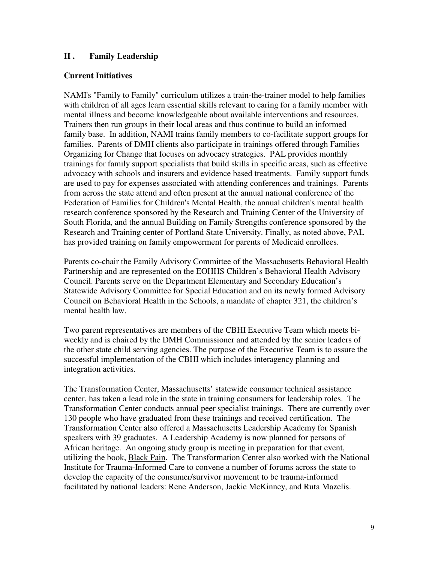## **II . Family Leadership**

## **Current Initiatives**

NAMI's "Family to Family" curriculum utilizes a train-the-trainer model to help families with children of all ages learn essential skills relevant to caring for a family member with mental illness and become knowledgeable about available interventions and resources. Trainers then run groups in their local areas and thus continue to build an informed family base. In addition, NAMI trains family members to co-facilitate support groups for families. Parents of DMH clients also participate in trainings offered through Families Organizing for Change that focuses on advocacy strategies. PAL provides monthly trainings for family support specialists that build skills in specific areas, such as effective advocacy with schools and insurers and evidence based treatments. Family support funds are used to pay for expenses associated with attending conferences and trainings. Parents from across the state attend and often present at the annual national conference of the Federation of Families for Children's Mental Health, the annual children's mental health research conference sponsored by the Research and Training Center of the University of South Florida, and the annual Building on Family Strengths conference sponsored by the Research and Training center of Portland State University. Finally, as noted above, PAL has provided training on family empowerment for parents of Medicaid enrollees.

Parents co-chair the Family Advisory Committee of the Massachusetts Behavioral Health Partnership and are represented on the EOHHS Children's Behavioral Health Advisory Council. Parents serve on the Department Elementary and Secondary Education's Statewide Advisory Committee for Special Education and on its newly formed Advisory Council on Behavioral Health in the Schools, a mandate of chapter 321, the children's mental health law.

Two parent representatives are members of the CBHI Executive Team which meets biweekly and is chaired by the DMH Commissioner and attended by the senior leaders of the other state child serving agencies. The purpose of the Executive Team is to assure the successful implementation of the CBHI which includes interagency planning and integration activities.

The Transformation Center, Massachusetts' statewide consumer technical assistance center, has taken a lead role in the state in training consumers for leadership roles. The Transformation Center conducts annual peer specialist trainings. There are currently over 130 people who have graduated from these trainings and received certification. The Transformation Center also offered a Massachusetts Leadership Academy for Spanish speakers with 39 graduates. A Leadership Academy is now planned for persons of African heritage. An ongoing study group is meeting in preparation for that event, utilizing the book, Black Pain. The Transformation Center also worked with the National Institute for Trauma-Informed Care to convene a number of forums across the state to develop the capacity of the consumer/survivor movement to be trauma-informed facilitated by national leaders: Rene Anderson, Jackie McKinney, and Ruta Mazelis.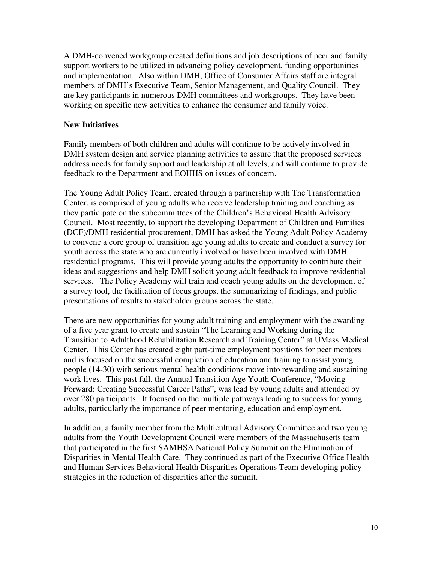A DMH-convened workgroup created definitions and job descriptions of peer and family support workers to be utilized in advancing policy development, funding opportunities and implementation. Also within DMH, Office of Consumer Affairs staff are integral members of DMH's Executive Team, Senior Management, and Quality Council. They are key participants in numerous DMH committees and workgroups. They have been working on specific new activities to enhance the consumer and family voice.

## **New Initiatives**

Family members of both children and adults will continue to be actively involved in DMH system design and service planning activities to assure that the proposed services address needs for family support and leadership at all levels, and will continue to provide feedback to the Department and EOHHS on issues of concern.

The Young Adult Policy Team, created through a partnership with The Transformation Center, is comprised of young adults who receive leadership training and coaching as they participate on the subcommittees of the Children's Behavioral Health Advisory Council. Most recently, to support the developing Department of Children and Families (DCF)/DMH residential procurement, DMH has asked the Young Adult Policy Academy to convene a core group of transition age young adults to create and conduct a survey for youth across the state who are currently involved or have been involved with DMH residential programs. This will provide young adults the opportunity to contribute their ideas and suggestions and help DMH solicit young adult feedback to improve residential services. The Policy Academy will train and coach young adults on the development of a survey tool, the facilitation of focus groups, the summarizing of findings, and public presentations of results to stakeholder groups across the state.

There are new opportunities for young adult training and employment with the awarding of a five year grant to create and sustain "The Learning and Working during the Transition to Adulthood Rehabilitation Research and Training Center" at UMass Medical Center. This Center has created eight part-time employment positions for peer mentors and is focused on the successful completion of education and training to assist young people (14-30) with serious mental health conditions move into rewarding and sustaining work lives. This past fall, the Annual Transition Age Youth Conference, "Moving Forward: Creating Successful Career Paths", was lead by young adults and attended by over 280 participants. It focused on the multiple pathways leading to success for young adults, particularly the importance of peer mentoring, education and employment.

In addition, a family member from the Multicultural Advisory Committee and two young adults from the Youth Development Council were members of the Massachusetts team that participated in the first SAMHSA National Policy Summit on the Elimination of Disparities in Mental Health Care. They continued as part of the Executive Office Health and Human Services Behavioral Health Disparities Operations Team developing policy strategies in the reduction of disparities after the summit.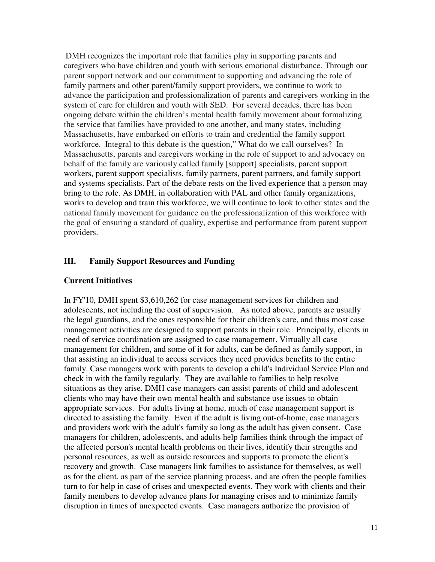DMH recognizes the important role that families play in supporting parents and caregivers who have children and youth with serious emotional disturbance. Through our parent support network and our commitment to supporting and advancing the role of family partners and other parent/family support providers, we continue to work to advance the participation and professionalization of parents and caregivers working in the system of care for children and youth with SED. For several decades, there has been ongoing debate within the children's mental health family movement about formalizing the service that families have provided to one another, and many states, including Massachusetts, have embarked on efforts to train and credential the family support workforce. Integral to this debate is the question," What do we call ourselves? In Massachusetts, parents and caregivers working in the role of support to and advocacy on behalf of the family are variously called family [support] specialists, parent support workers, parent support specialists, family partners, parent partners, and family support and systems specialists. Part of the debate rests on the lived experience that a person may bring to the role. As DMH, in collaboration with PAL and other family organizations, works to develop and train this workforce, we will continue to look to other states and the national family movement for guidance on the professionalization of this workforce with the goal of ensuring a standard of quality, expertise and performance from parent support providers.

#### **III. Family Support Resources and Funding**

## **Current Initiatives**

In FY'10, DMH spent \$3,610,262 for case management services for children and adolescents, not including the cost of supervision. As noted above, parents are usually the legal guardians, and the ones responsible for their children's care, and thus most case management activities are designed to support parents in their role. Principally, clients in need of service coordination are assigned to case management. Virtually all case management for children, and some of it for adults, can be defined as family support, in that assisting an individual to access services they need provides benefits to the entire family. Case managers work with parents to develop a child's Individual Service Plan and check in with the family regularly. They are available to families to help resolve situations as they arise. DMH case managers can assist parents of child and adolescent clients who may have their own mental health and substance use issues to obtain appropriate services. For adults living at home, much of case management support is directed to assisting the family. Even if the adult is living out-of-home, case managers and providers work with the adult's family so long as the adult has given consent. Case managers for children, adolescents, and adults help families think through the impact of the affected person's mental health problems on their lives, identify their strengths and personal resources, as well as outside resources and supports to promote the client's recovery and growth. Case managers link families to assistance for themselves, as well as for the client, as part of the service planning process, and are often the people families turn to for help in case of crises and unexpected events. They work with clients and their family members to develop advance plans for managing crises and to minimize family disruption in times of unexpected events. Case managers authorize the provision of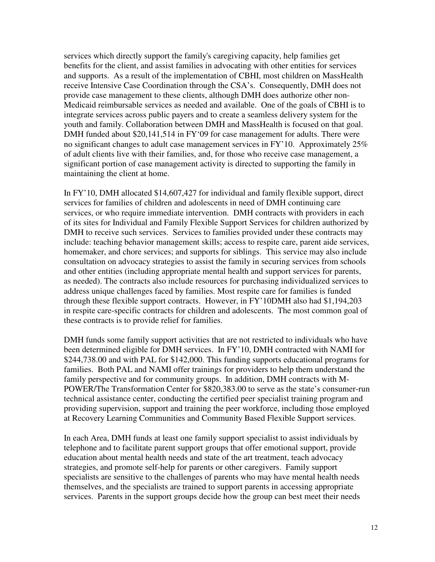services which directly support the family's caregiving capacity, help families get benefits for the client, and assist families in advocating with other entities for services and supports. As a result of the implementation of CBHI, most children on MassHealth receive Intensive Case Coordination through the CSA's. Consequently, DMH does not provide case management to these clients, although DMH does authorize other non-Medicaid reimbursable services as needed and available. One of the goals of CBHI is to integrate services across public payers and to create a seamless delivery system for the youth and family. Collaboration between DMH and MassHealth is focused on that goal. DMH funded about \$20,141,514 in FY'09 for case management for adults. There were no significant changes to adult case management services in FY'10. Approximately  $25\%$ of adult clients live with their families, and, for those who receive case management, a significant portion of case management activity is directed to supporting the family in maintaining the client at home.

In FY'10, DMH allocated \$14,607,427 for individual and family flexible support, direct services for families of children and adolescents in need of DMH continuing care services, or who require immediate intervention. DMH contracts with providers in each of its sites for Individual and Family Flexible Support Services for children authorized by DMH to receive such services. Services to families provided under these contracts may include: teaching behavior management skills; access to respite care, parent aide services, homemaker, and chore services; and supports for siblings. This service may also include consultation on advocacy strategies to assist the family in securing services from schools and other entities (including appropriate mental health and support services for parents, as needed). The contracts also include resources for purchasing individualized services to address unique challenges faced by families. Most respite care for families is funded through these flexible support contracts. However, in FY'10DMH also had \$1,194,203 in respite care-specific contracts for children and adolescents. The most common goal of these contracts is to provide relief for families.

DMH funds some family support activities that are not restricted to individuals who have been determined eligible for DMH services. In FY'10, DMH contracted with NAMI for \$244,738.00 and with PAL for \$142,000. This funding supports educational programs for families. Both PAL and NAMI offer trainings for providers to help them understand the family perspective and for community groups. In addition, DMH contracts with M-POWER/The Transformation Center for \$820,383.00 to serve as the state's consumer-run technical assistance center, conducting the certified peer specialist training program and providing supervision, support and training the peer workforce, including those employed at Recovery Learning Communities and Community Based Flexible Support services.

In each Area, DMH funds at least one family support specialist to assist individuals by telephone and to facilitate parent support groups that offer emotional support, provide education about mental health needs and state of the art treatment, teach advocacy strategies, and promote self-help for parents or other caregivers. Family support specialists are sensitive to the challenges of parents who may have mental health needs themselves, and the specialists are trained to support parents in accessing appropriate services. Parents in the support groups decide how the group can best meet their needs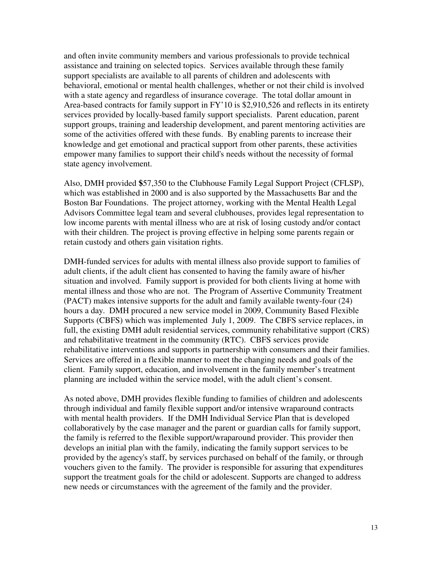and often invite community members and various professionals to provide technical assistance and training on selected topics. Services available through these family support specialists are available to all parents of children and adolescents with behavioral, emotional or mental health challenges, whether or not their child is involved with a state agency and regardless of insurance coverage. The total dollar amount in Area-based contracts for family support in FY'10 is \$2,910,526 and reflects in its entirety services provided by locally-based family support specialists. Parent education, parent support groups, training and leadership development, and parent mentoring activities are some of the activities offered with these funds. By enabling parents to increase their knowledge and get emotional and practical support from other parents, these activities empower many families to support their child's needs without the necessity of formal state agency involvement.

Also, DMH provided **\$**57,350 to the Clubhouse Family Legal Support Project (CFLSP), which was established in 2000 and is also supported by the Massachusetts Bar and the Boston Bar Foundations. The project attorney, working with the Mental Health Legal Advisors Committee legal team and several clubhouses, provides legal representation to low income parents with mental illness who are at risk of losing custody and/or contact with their children. The project is proving effective in helping some parents regain or retain custody and others gain visitation rights.

DMH-funded services for adults with mental illness also provide support to families of adult clients, if the adult client has consented to having the family aware of his/her situation and involved. Family support is provided for both clients living at home with mental illness and those who are not. The Program of Assertive Community Treatment (PACT) makes intensive supports for the adult and family available twenty-four (24) hours a day. DMH procured a new service model in 2009, Community Based Flexible Supports (CBFS) which was implemented July 1, 2009. The CBFS service replaces, in full, the existing DMH adult residential services, community rehabilitative support (CRS) and rehabilitative treatment in the community (RTC). CBFS services provide rehabilitative interventions and supports in partnership with consumers and their families. Services are offered in a flexible manner to meet the changing needs and goals of the client. Family support, education, and involvement in the family member's treatment planning are included within the service model, with the adult client's consent.

As noted above, DMH provides flexible funding to families of children and adolescents through individual and family flexible support and/or intensive wraparound contracts with mental health providers. If the DMH Individual Service Plan that is developed collaboratively by the case manager and the parent or guardian calls for family support, the family is referred to the flexible support/wraparound provider. This provider then develops an initial plan with the family, indicating the family support services to be provided by the agency's staff, by services purchased on behalf of the family, or through vouchers given to the family. The provider is responsible for assuring that expenditures support the treatment goals for the child or adolescent. Supports are changed to address new needs or circumstances with the agreement of the family and the provider.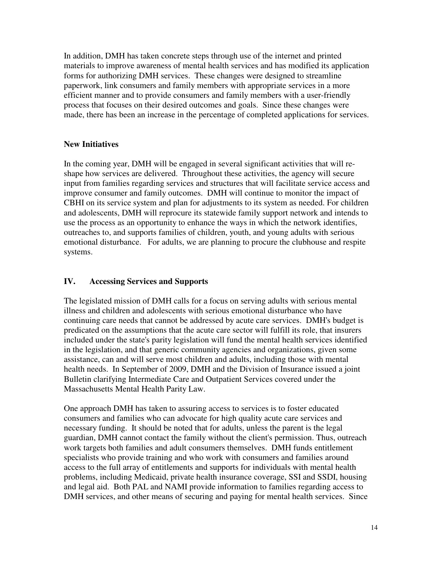In addition, DMH has taken concrete steps through use of the internet and printed materials to improve awareness of mental health services and has modified its application forms for authorizing DMH services. These changes were designed to streamline paperwork, link consumers and family members with appropriate services in a more efficient manner and to provide consumers and family members with a user-friendly process that focuses on their desired outcomes and goals. Since these changes were made, there has been an increase in the percentage of completed applications for services.

# **New Initiatives**

In the coming year, DMH will be engaged in several significant activities that will reshape how services are delivered. Throughout these activities, the agency will secure input from families regarding services and structures that will facilitate service access and improve consumer and family outcomes. DMH will continue to monitor the impact of CBHI on its service system and plan for adjustments to its system as needed. For children and adolescents, DMH will reprocure its statewide family support network and intends to use the process as an opportunity to enhance the ways in which the network identifies, outreaches to, and supports families of children, youth, and young adults with serious emotional disturbance. For adults, we are planning to procure the clubhouse and respite systems.

# **IV. Accessing Services and Supports**

The legislated mission of DMH calls for a focus on serving adults with serious mental illness and children and adolescents with serious emotional disturbance who have continuing care needs that cannot be addressed by acute care services. DMH's budget is predicated on the assumptions that the acute care sector will fulfill its role, that insurers included under the state's parity legislation will fund the mental health services identified in the legislation, and that generic community agencies and organizations, given some assistance, can and will serve most children and adults, including those with mental health needs. In September of 2009, DMH and the Division of Insurance issued a joint Bulletin clarifying Intermediate Care and Outpatient Services covered under the Massachusetts Mental Health Parity Law.

One approach DMH has taken to assuring access to services is to foster educated consumers and families who can advocate for high quality acute care services and necessary funding. It should be noted that for adults, unless the parent is the legal guardian, DMH cannot contact the family without the client's permission. Thus, outreach work targets both families and adult consumers themselves. DMH funds entitlement specialists who provide training and who work with consumers and families around access to the full array of entitlements and supports for individuals with mental health problems, including Medicaid, private health insurance coverage, SSI and SSDI, housing and legal aid. Both PAL and NAMI provide information to families regarding access to DMH services, and other means of securing and paying for mental health services. Since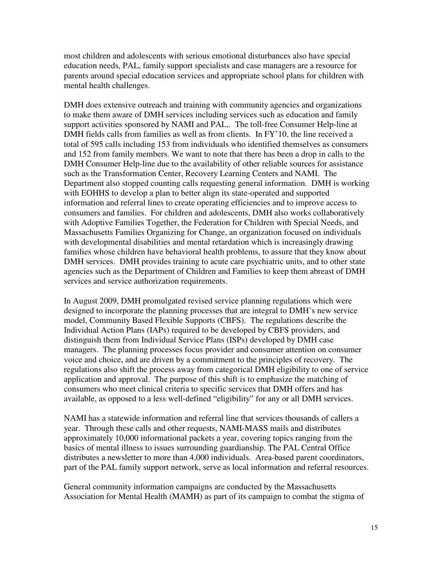most children and adolescents with serious emotional disturbances also have special education needs, PAL, family support specialists and case managers are a resource for parents around special education services and appropriate school plans for children with mental health challenges.

DMH does extensive outreach and training with community agencies and organizations to make them aware of DMH services including services such as education and family support activities sponsored by NAMI and PAL,. The toll-free Consumer Help-line at DMH fields calls from families as well as from clients. In FY'10, the line received a total of 595 calls including 153 from individuals who identified themselves as consumers and 152 from family members. We want to note that there has been a drop in calls to the DMH Consumer Help-line due to the availability of other reliable sources for assistance such as the Transformation Center, Recovery Learning Centers and NAMI. The Department also stopped counting calls requesting general information. DMH is working with EOHHS to develop a plan to better align its state-operated and supported information and referral lines to create operating efficiencies and to improve access to consumers and families. For children and adolescents, DMH also works collaboratively with Adoptive Families Together, the Federation for Children with Special Needs, and Massachusetts Families Organizing for Change, an organization focused on individuals with developmental disabilities and mental retardation which is increasingly drawing families whose children have behavioral health problems, to assure that they know about DMH services. DMH provides training to acute care psychiatric units, and to other state agencies such as the Department of Children and Families to keep them abreast of DMH services and service authorization requirements.

In August 2009, DMH promulgated revised service planning regulations which were designed to incorporate the planning processes that are integral to DMH's new service model, Community Based Flexible Supports (CBFS). The regulations describe the Individual Action Plans (IAPs) required to be developed by CBFS providers, and distinguish them from Individual Service Plans (ISPs) developed by DMH case managers. The planning processes focus provider and consumer attention on consumer voice and choice, and are driven by a commitment to the principles of recovery. The regulations also shift the process away from categorical DMH eligibility to one of service application and approval. The purpose of this shift is to emphasize the matching of consumers who meet clinical criteria to specific services that DMH offers and has available, as opposed to a less well-defined "eligibility" for any or all DMH services.

NAMI has a statewide information and referral line that services thousands of callers a year. Through these calls and other requests, NAMI-MASS mails and distributes approximately 10,000 informational packets a year, covering topics ranging from the basics of mental illness to issues surrounding guardianship. The PAL Central Office distributes a newsletter to more than 4,000 individuals. Area-based parent coordinators, part of the PAL family support network, serve as local information and referral resources.

General community information campaigns are conducted by the Massachusetts Association for Mental Health (MAMH) as part of its campaign to combat the stigma of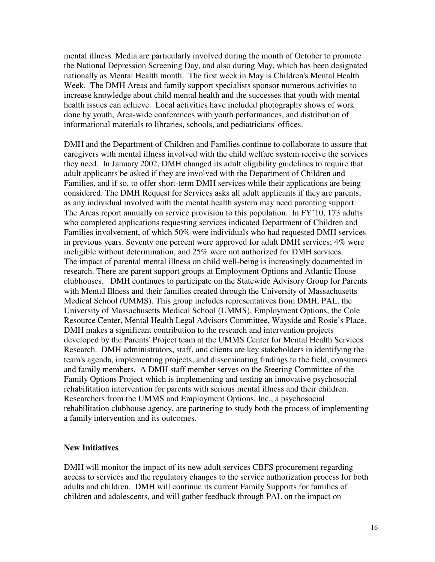mental illness. Media are particularly involved during the month of October to promote the National Depression Screening Day, and also during May, which has been designated nationally as Mental Health month. The first week in May is Children's Mental Health Week. The DMH Areas and family support specialists sponsor numerous activities to increase knowledge about child mental health and the successes that youth with mental health issues can achieve. Local activities have included photography shows of work done by youth, Area-wide conferences with youth performances, and distribution of informational materials to libraries, schools, and pediatricians' offices.

DMH and the Department of Children and Families continue to collaborate to assure that caregivers with mental illness involved with the child welfare system receive the services they need. In January 2002, DMH changed its adult eligibility guidelines to require that adult applicants be asked if they are involved with the Department of Children and Families, and if so, to offer short-term DMH services while their applications are being considered. The DMH Request for Services asks all adult applicants if they are parents, as any individual involved with the mental health system may need parenting support. The Areas report annually on service provision to this population. In FY'10, 173 adults who completed applications requesting services indicated Department of Children and Families involvement, of which 50% were individuals who had requested DMH services in previous years. Seventy one percent were approved for adult DMH services; 4% were ineligible without determination, and 25% were not authorized for DMH services. The impact of parental mental illness on child well-being is increasingly documented in research. There are parent support groups at Employment Options and Atlantic House clubhouses. DMH continues to participate on the Statewide Advisory Group for Parents with Mental Illness and their families created through the University of Massachusetts Medical School (UMMS). This group includes representatives from DMH, PAL, the University of Massachusetts Medical School (UMMS), Employment Options, the Cole Resource Center, Mental Health Legal Advisors Committee, Wayside and Rosie's Place. DMH makes a significant contribution to the research and intervention projects developed by the Parents' Project team at the UMMS Center for Mental Health Services Research. DMH administrators, staff, and clients are key stakeholders in identifying the team's agenda, implementing projects, and disseminating findings to the field, consumers and family members. A DMH staff member serves on the Steering Committee of the Family Options Project which is implementing and testing an innovative psychosocial rehabilitation intervention for parents with serious mental illness and their children. Researchers from the UMMS and Employment Options, Inc., a psychosocial rehabilitation clubhouse agency, are partnering to study both the process of implementing a family intervention and its outcomes.

#### **New Initiatives**

DMH will monitor the impact of its new adult services CBFS procurement regarding access to services and the regulatory changes to the service authorization process for both adults and children. DMH will continue its current Family Supports for families of children and adolescents, and will gather feedback through PAL on the impact on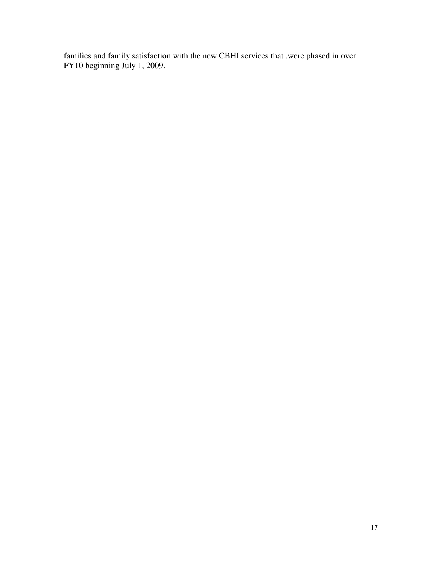families and family satisfaction with the new CBHI services that .were phased in over FY10 beginning July 1, 2009.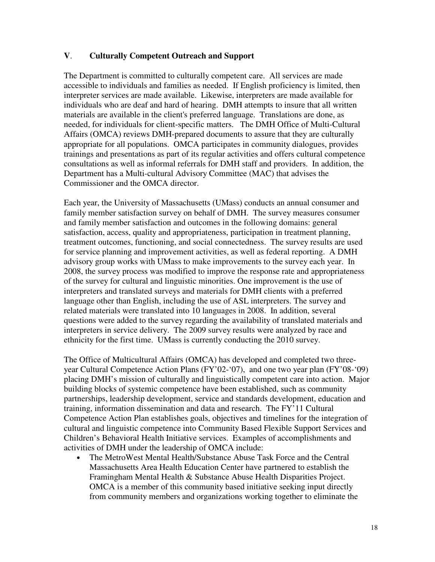#### **V**. **Culturally Competent Outreach and Support**

The Department is committed to culturally competent care. All services are made accessible to individuals and families as needed. If English proficiency is limited, then interpreter services are made available. Likewise, interpreters are made available for individuals who are deaf and hard of hearing. DMH attempts to insure that all written materials are available in the client's preferred language. Translations are done, as needed, for individuals for client-specific matters. The DMH Office of Multi-Cultural Affairs (OMCA) reviews DMH-prepared documents to assure that they are culturally appropriate for all populations. OMCA participates in community dialogues, provides trainings and presentations as part of its regular activities and offers cultural competence consultations as well as informal referrals for DMH staff and providers. In addition, the Department has a Multi-cultural Advisory Committee (MAC) that advises the Commissioner and the OMCA director.

Each year, the University of Massachusetts (UMass) conducts an annual consumer and family member satisfaction survey on behalf of DMH. The survey measures consumer and family member satisfaction and outcomes in the following domains: general satisfaction, access, quality and appropriateness, participation in treatment planning, treatment outcomes, functioning, and social connectedness. The survey results are used for service planning and improvement activities, as well as federal reporting. A DMH advisory group works with UMass to make improvements to the survey each year. In 2008, the survey process was modified to improve the response rate and appropriateness of the survey for cultural and linguistic minorities. One improvement is the use of interpreters and translated surveys and materials for DMH clients with a preferred language other than English, including the use of ASL interpreters. The survey and related materials were translated into 10 languages in 2008. In addition, several questions were added to the survey regarding the availability of translated materials and interpreters in service delivery. The 2009 survey results were analyzed by race and ethnicity for the first time. UMass is currently conducting the 2010 survey.

The Office of Multicultural Affairs (OMCA) has developed and completed two threeyear Cultural Competence Action Plans (FY'02-'07), and one two year plan (FY'08-'09) placing DMH's mission of culturally and linguistically competent care into action. Major building blocks of systemic competence have been established, such as community partnerships, leadership development, service and standards development, education and training, information dissemination and data and research. The FY'11 Cultural Competence Action Plan establishes goals, objectives and timelines for the integration of cultural and linguistic competence into Community Based Flexible Support Services and Children's Behavioral Health Initiative services. Examples of accomplishments and activities of DMH under the leadership of OMCA include:

• The MetroWest Mental Health/Substance Abuse Task Force and the Central Massachusetts Area Health Education Center have partnered to establish the Framingham Mental Health & Substance Abuse Health Disparities Project. OMCA is a member of this community based initiative seeking input directly from community members and organizations working together to eliminate the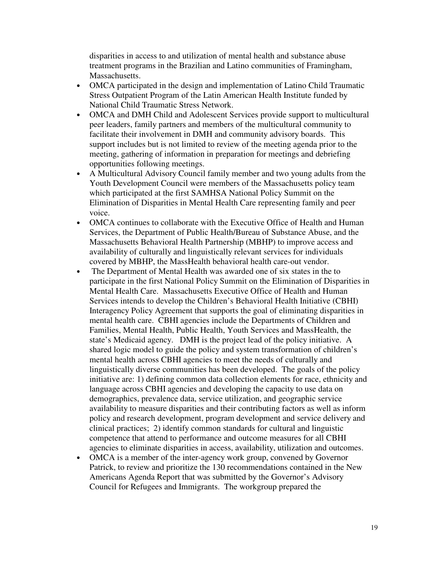disparities in access to and utilization of mental health and substance abuse treatment programs in the Brazilian and Latino communities of Framingham, Massachusetts.

- OMCA participated in the design and implementation of Latino Child Traumatic Stress Outpatient Program of the Latin American Health Institute funded by National Child Traumatic Stress Network.
- OMCA and DMH Child and Adolescent Services provide support to multicultural peer leaders, family partners and members of the multicultural community to facilitate their involvement in DMH and community advisory boards. This support includes but is not limited to review of the meeting agenda prior to the meeting, gathering of information in preparation for meetings and debriefing opportunities following meetings.
- A Multicultural Advisory Council family member and two young adults from the Youth Development Council were members of the Massachusetts policy team which participated at the first SAMHSA National Policy Summit on the Elimination of Disparities in Mental Health Care representing family and peer voice.
- OMCA continues to collaborate with the Executive Office of Health and Human Services, the Department of Public Health/Bureau of Substance Abuse, and the Massachusetts Behavioral Health Partnership (MBHP) to improve access and availability of culturally and linguistically relevant services for individuals covered by MBHP, the MassHealth behavioral health care-out vendor.
- The Department of Mental Health was awarded one of six states in the to participate in the first National Policy Summit on the Elimination of Disparities in Mental Health Care. Massachusetts Executive Office of Health and Human Services intends to develop the Children's Behavioral Health Initiative (CBHI) Interagency Policy Agreement that supports the goal of eliminating disparities in mental health care. CBHI agencies include the Departments of Children and Families, Mental Health, Public Health, Youth Services and MassHealth, the state's Medicaid agency. DMH is the project lead of the policy initiative. A shared logic model to guide the policy and system transformation of children's mental health across CBHI agencies to meet the needs of culturally and linguistically diverse communities has been developed. The goals of the policy initiative are: 1) defining common data collection elements for race, ethnicity and language across CBHI agencies and developing the capacity to use data on demographics, prevalence data, service utilization, and geographic service availability to measure disparities and their contributing factors as well as inform policy and research development, program development and service delivery and clinical practices; 2) identify common standards for cultural and linguistic competence that attend to performance and outcome measures for all CBHI agencies to eliminate disparities in access, availability, utilization and outcomes.
- OMCA is a member of the inter-agency work group, convened by Governor Patrick, to review and prioritize the 130 recommendations contained in the New Americans Agenda Report that was submitted by the Governor's Advisory Council for Refugees and Immigrants. The workgroup prepared the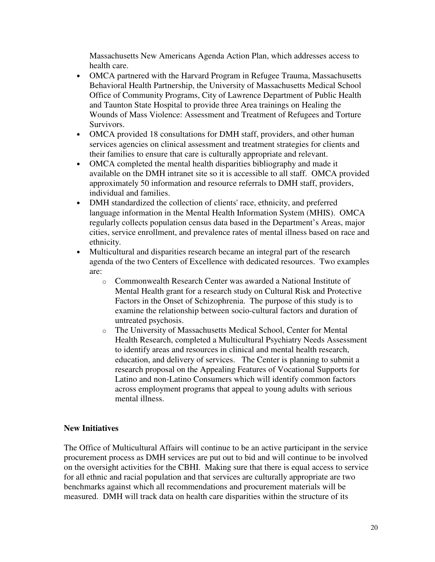Massachusetts New Americans Agenda Action Plan, which addresses access to health care.

- OMCA partnered with the Harvard Program in Refugee Trauma, Massachusetts Behavioral Health Partnership, the University of Massachusetts Medical School Office of Community Programs, City of Lawrence Department of Public Health and Taunton State Hospital to provide three Area trainings on Healing the Wounds of Mass Violence: Assessment and Treatment of Refugees and Torture Survivors.
- OMCA provided 18 consultations for DMH staff, providers, and other human services agencies on clinical assessment and treatment strategies for clients and their families to ensure that care is culturally appropriate and relevant.
- OMCA completed the mental health disparities bibliography and made it available on the DMH intranet site so it is accessible to all staff. OMCA provided approximately 50 information and resource referrals to DMH staff, providers, individual and families.
- DMH standardized the collection of clients' race, ethnicity, and preferred language information in the Mental Health Information System (MHIS). OMCA regularly collects population census data based in the Department's Areas, major cities, service enrollment, and prevalence rates of mental illness based on race and ethnicity.
- Multicultural and disparities research became an integral part of the research agenda of the two Centers of Excellence with dedicated resources. Two examples are:
	- o Commonwealth Research Center was awarded a National Institute of Mental Health grant for a research study on Cultural Risk and Protective Factors in the Onset of Schizophrenia. The purpose of this study is to examine the relationship between socio-cultural factors and duration of untreated psychosis.
	- o The University of Massachusetts Medical School, Center for Mental Health Research, completed a Multicultural Psychiatry Needs Assessment to identify areas and resources in clinical and mental health research, education, and delivery of services. The Center is planning to submit a research proposal on the Appealing Features of Vocational Supports for Latino and non-Latino Consumers which will identify common factors across employment programs that appeal to young adults with serious mental illness.

# **New Initiatives**

The Office of Multicultural Affairs will continue to be an active participant in the service procurement process as DMH services are put out to bid and will continue to be involved on the oversight activities for the CBHI. Making sure that there is equal access to service for all ethnic and racial population and that services are culturally appropriate are two benchmarks against which all recommendations and procurement materials will be measured. DMH will track data on health care disparities within the structure of its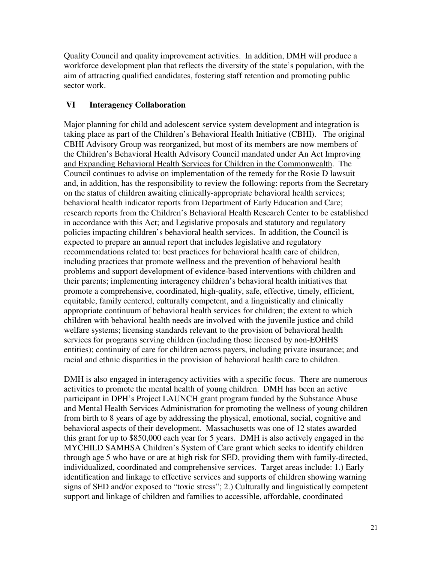Quality Council and quality improvement activities. In addition, DMH will produce a workforce development plan that reflects the diversity of the state's population, with the aim of attracting qualified candidates, fostering staff retention and promoting public sector work.

# **VI Interagency Collaboration**

Major planning for child and adolescent service system development and integration is taking place as part of the Children's Behavioral Health Initiative (CBHI). The original CBHI Advisory Group was reorganized, but most of its members are now members of the Children's Behavioral Health Advisory Council mandated under An Act Improving and Expanding Behavioral Health Services for Children in the Commonwealth. The Council continues to advise on implementation of the remedy for the Rosie D lawsuit and, in addition, has the responsibility to review the following: reports from the Secretary on the status of children awaiting clinically-appropriate behavioral health services; behavioral health indicator reports from Department of Early Education and Care; research reports from the Children's Behavioral Health Research Center to be established in accordance with this Act; and Legislative proposals and statutory and regulatory policies impacting children's behavioral health services. In addition, the Council is expected to prepare an annual report that includes legislative and regulatory recommendations related to: best practices for behavioral health care of children, including practices that promote wellness and the prevention of behavioral health problems and support development of evidence-based interventions with children and their parents; implementing interagency children's behavioral health initiatives that promote a comprehensive, coordinated, high-quality, safe, effective, timely, efficient, equitable, family centered, culturally competent, and a linguistically and clinically appropriate continuum of behavioral health services for children; the extent to which children with behavioral health needs are involved with the juvenile justice and child welfare systems; licensing standards relevant to the provision of behavioral health services for programs serving children (including those licensed by non-EOHHS entities); continuity of care for children across payers, including private insurance; and racial and ethnic disparities in the provision of behavioral health care to children.

DMH is also engaged in interagency activities with a specific focus. There are numerous activities to promote the mental health of young children. DMH has been an active participant in DPH's Project LAUNCH grant program funded by the Substance Abuse and Mental Health Services Administration for promoting the wellness of young children from birth to 8 years of age by addressing the physical, emotional, social, cognitive and behavioral aspects of their development. Massachusetts was one of 12 states awarded this grant for up to \$850,000 each year for 5 years. DMH is also actively engaged in the MYCHILD SAMHSA Children's System of Care grant which seeks to identify children through age 5 who have or are at high risk for SED, providing them with family-directed, individualized, coordinated and comprehensive services. Target areas include: 1.) Early identification and linkage to effective services and supports of children showing warning signs of SED and/or exposed to "toxic stress"; 2.) Culturally and linguistically competent support and linkage of children and families to accessible, affordable, coordinated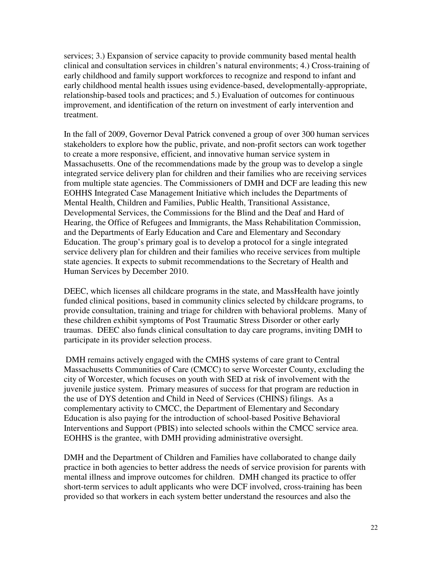services; 3.) Expansion of service capacity to provide community based mental health clinical and consultation services in children's natural environments; 4.) Cross-training of early childhood and family support workforces to recognize and respond to infant and early childhood mental health issues using evidence-based, developmentally-appropriate, relationship-based tools and practices; and 5.) Evaluation of outcomes for continuous improvement, and identification of the return on investment of early intervention and treatment.

In the fall of 2009, Governor Deval Patrick convened a group of over 300 human services stakeholders to explore how the public, private, and non-profit sectors can work together to create a more responsive, efficient, and innovative human service system in Massachusetts. One of the recommendations made by the group was to develop a single integrated service delivery plan for children and their families who are receiving services from multiple state agencies. The Commissioners of DMH and DCF are leading this new EOHHS Integrated Case Management Initiative which includes the Departments of Mental Health, Children and Families, Public Health, Transitional Assistance, Developmental Services, the Commissions for the Blind and the Deaf and Hard of Hearing, the Office of Refugees and Immigrants, the Mass Rehabilitation Commission, and the Departments of Early Education and Care and Elementary and Secondary Education. The group's primary goal is to develop a protocol for a single integrated service delivery plan for children and their families who receive services from multiple state agencies. It expects to submit recommendations to the Secretary of Health and Human Services by December 2010.

DEEC, which licenses all childcare programs in the state, and MassHealth have jointly funded clinical positions, based in community clinics selected by childcare programs, to provide consultation, training and triage for children with behavioral problems. Many of these children exhibit symptoms of Post Traumatic Stress Disorder or other early traumas. DEEC also funds clinical consultation to day care programs, inviting DMH to participate in its provider selection process.

DMH remains actively engaged with the CMHS systems of care grant to Central Massachusetts Communities of Care (CMCC) to serve Worcester County, excluding the city of Worcester, which focuses on youth with SED at risk of involvement with the juvenile justice system. Primary measures of success for that program are reduction in the use of DYS detention and Child in Need of Services (CHINS) filings. As a complementary activity to CMCC, the Department of Elementary and Secondary Education is also paying for the introduction of school-based Positive Behavioral Interventions and Support (PBIS) into selected schools within the CMCC service area. EOHHS is the grantee, with DMH providing administrative oversight.

DMH and the Department of Children and Families have collaborated to change daily practice in both agencies to better address the needs of service provision for parents with mental illness and improve outcomes for children. DMH changed its practice to offer short-term services to adult applicants who were DCF involved, cross-training has been provided so that workers in each system better understand the resources and also the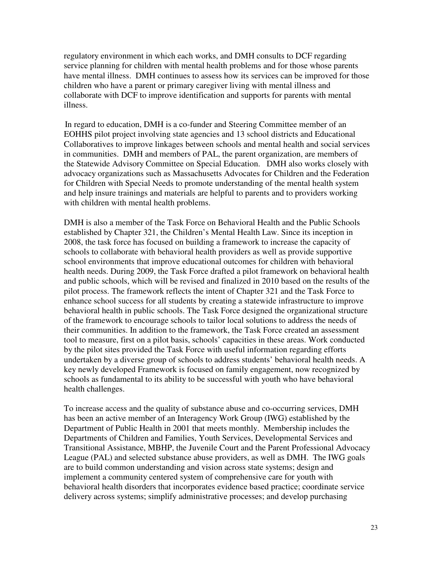regulatory environment in which each works, and DMH consults to DCF regarding service planning for children with mental health problems and for those whose parents have mental illness. DMH continues to assess how its services can be improved for those children who have a parent or primary caregiver living with mental illness and collaborate with DCF to improve identification and supports for parents with mental illness.

 In regard to education, DMH is a co-funder and Steering Committee member of an EOHHS pilot project involving state agencies and 13 school districts and Educational Collaboratives to improve linkages between schools and mental health and social services in communities. DMH and members of PAL, the parent organization, are members of the Statewide Advisory Committee on Special Education. DMH also works closely with advocacy organizations such as Massachusetts Advocates for Children and the Federation for Children with Special Needs to promote understanding of the mental health system and help insure trainings and materials are helpful to parents and to providers working with children with mental health problems.

DMH is also a member of the Task Force on Behavioral Health and the Public Schools established by Chapter 321, the Children's Mental Health Law. Since its inception in 2008, the task force has focused on building a framework to increase the capacity of schools to collaborate with behavioral health providers as well as provide supportive school environments that improve educational outcomes for children with behavioral health needs. During 2009, the Task Force drafted a pilot framework on behavioral health and public schools, which will be revised and finalized in 2010 based on the results of the pilot process. The framework reflects the intent of Chapter 321 and the Task Force to enhance school success for all students by creating a statewide infrastructure to improve behavioral health in public schools. The Task Force designed the organizational structure of the framework to encourage schools to tailor local solutions to address the needs of their communities. In addition to the framework, the Task Force created an assessment tool to measure, first on a pilot basis, schools' capacities in these areas. Work conducted by the pilot sites provided the Task Force with useful information regarding efforts undertaken by a diverse group of schools to address students' behavioral health needs. A key newly developed Framework is focused on family engagement, now recognized by schools as fundamental to its ability to be successful with youth who have behavioral health challenges.

To increase access and the quality of substance abuse and co-occurring services, DMH has been an active member of an Interagency Work Group (IWG) established by the Department of Public Health in 2001 that meets monthly. Membership includes the Departments of Children and Families, Youth Services, Developmental Services and Transitional Assistance, MBHP, the Juvenile Court and the Parent Professional Advocacy League (PAL) and selected substance abuse providers, as well as DMH. The IWG goals are to build common understanding and vision across state systems; design and implement a community centered system of comprehensive care for youth with behavioral health disorders that incorporates evidence based practice; coordinate service delivery across systems; simplify administrative processes; and develop purchasing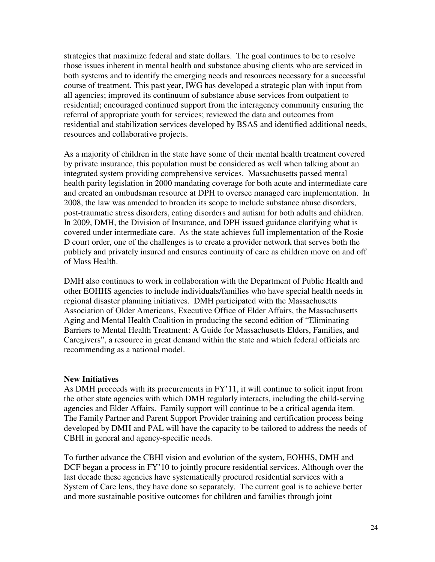strategies that maximize federal and state dollars. The goal continues to be to resolve those issues inherent in mental health and substance abusing clients who are serviced in both systems and to identify the emerging needs and resources necessary for a successful course of treatment. This past year, IWG has developed a strategic plan with input from all agencies; improved its continuum of substance abuse services from outpatient to residential; encouraged continued support from the interagency community ensuring the referral of appropriate youth for services; reviewed the data and outcomes from residential and stabilization services developed by BSAS and identified additional needs, resources and collaborative projects.

As a majority of children in the state have some of their mental health treatment covered by private insurance, this population must be considered as well when talking about an integrated system providing comprehensive services. Massachusetts passed mental health parity legislation in 2000 mandating coverage for both acute and intermediate care and created an ombudsman resource at DPH to oversee managed care implementation. In 2008, the law was amended to broaden its scope to include substance abuse disorders, post-traumatic stress disorders, eating disorders and autism for both adults and children. In 2009, DMH, the Division of Insurance, and DPH issued guidance clarifying what is covered under intermediate care. As the state achieves full implementation of the Rosie D court order, one of the challenges is to create a provider network that serves both the publicly and privately insured and ensures continuity of care as children move on and off of Mass Health.

DMH also continues to work in collaboration with the Department of Public Health and other EOHHS agencies to include individuals/families who have special health needs in regional disaster planning initiatives. DMH participated with the Massachusetts Association of Older Americans, Executive Office of Elder Affairs, the Massachusetts Aging and Mental Health Coalition in producing the second edition of "Eliminating Barriers to Mental Health Treatment: A Guide for Massachusetts Elders, Families, and Caregivers", a resource in great demand within the state and which federal officials are recommending as a national model.

#### **New Initiatives**

As DMH proceeds with its procurements in FY'11, it will continue to solicit input from the other state agencies with which DMH regularly interacts, including the child-serving agencies and Elder Affairs. Family support will continue to be a critical agenda item. The Family Partner and Parent Support Provider training and certification process being developed by DMH and PAL will have the capacity to be tailored to address the needs of CBHI in general and agency-specific needs.

To further advance the CBHI vision and evolution of the system, EOHHS, DMH and DCF began a process in FY'10 to jointly procure residential services. Although over the last decade these agencies have systematically procured residential services with a System of Care lens, they have done so separately. The current goal is to achieve better and more sustainable positive outcomes for children and families through joint